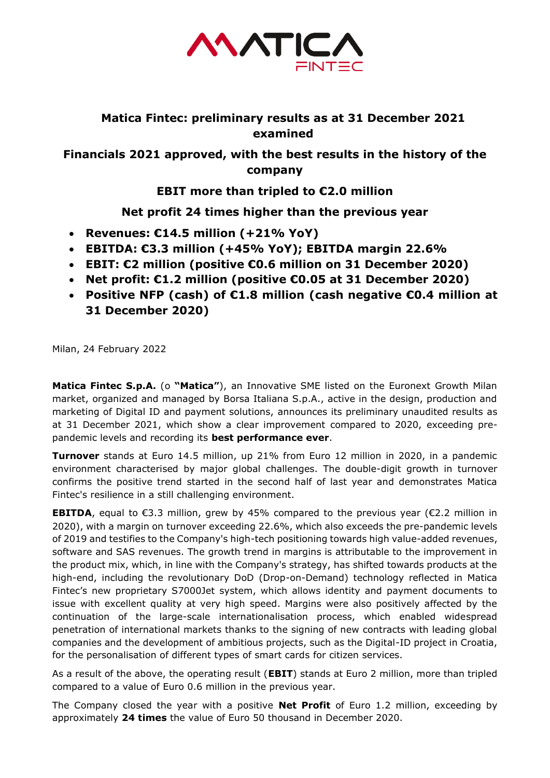

## **Matica Fintec: preliminary results as at 31 December 2021 examined**

**Financials 2021 approved, with the best results in the history of the company**

**EBIT more than tripled to €2.0 million**

## **Net profit 24 times higher than the previous year**

- **Revenues: €14.5 million (+21% YoY)**
- **EBITDA: €3.3 million (+45% YoY); EBITDA margin 22.6%**
- **EBIT: €2 million (positive €0.6 million on 31 December 2020)**
- **Net profit: €1.2 million (positive €0.05 at 31 December 2020)**
- **Positive NFP (cash) of €1.8 million (cash negative €0.4 million at 31 December 2020)**

Milan, 24 February 2022

**Matica Fintec S.p.A.** (o **"Matica"**), an Innovative SME listed on the Euronext Growth Milan market, organized and managed by Borsa Italiana S.p.A., active in the design, production and marketing of Digital ID and payment solutions, announces its preliminary unaudited results as at 31 December 2021, which show a clear improvement compared to 2020, exceeding prepandemic levels and recording its **best performance ever**.

**Turnover** stands at Euro 14.5 million, up 21% from Euro 12 million in 2020, in a pandemic environment characterised by major global challenges. The double-digit growth in turnover confirms the positive trend started in the second half of last year and demonstrates Matica Fintec's resilience in a still challenging environment.

**EBITDA**, equal to  $\epsilon$ 3.3 million, grew by 45% compared to the previous year ( $\epsilon$ 2.2 million in 2020), with a margin on turnover exceeding 22.6%, which also exceeds the pre-pandemic levels of 2019 and testifies to the Company's high-tech positioning towards high value-added revenues, software and SAS revenues. The growth trend in margins is attributable to the improvement in the product mix, which, in line with the Company's strategy, has shifted towards products at the high-end, including the revolutionary DoD (Drop-on-Demand) technology reflected in Matica Fintec's new proprietary S7000Jet system, which allows identity and payment documents to issue with excellent quality at very high speed. Margins were also positively affected by the continuation of the large-scale internationalisation process, which enabled widespread penetration of international markets thanks to the signing of new contracts with leading global companies and the development of ambitious projects, such as the Digital-ID project in Croatia, for the personalisation of different types of smart cards for citizen services.

As a result of the above, the operating result (**EBIT**) stands at Euro 2 million, more than tripled compared to a value of Euro 0.6 million in the previous year.

The Company closed the year with a positive **Net Profit** of Euro 1.2 million, exceeding by approximately **24 times** the value of Euro 50 thousand in December 2020.